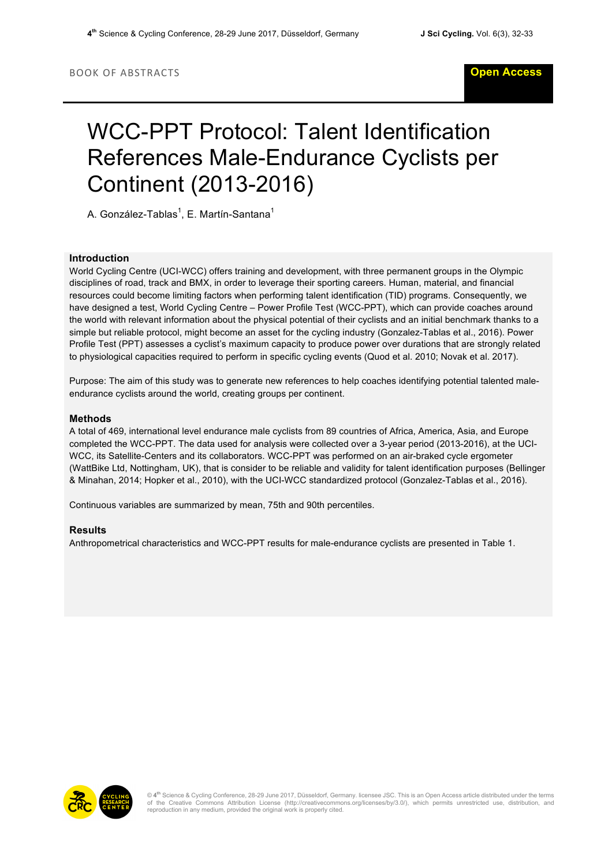# WCC-PPT Protocol: Talent Identification References Male-Endurance Cyclists per Continent (2013-2016)

A. González-Tablas<sup>1</sup>, E. Martín-Santana<sup>1</sup>

## **Introduction**

World Cycling Centre (UCI-WCC) offers training and development, with three permanent groups in the Olympic disciplines of road, track and BMX, in order to leverage their sporting careers. Human, material, and financial resources could become limiting factors when performing talent identification (TID) programs. Consequently, we have designed a test, World Cycling Centre – Power Profile Test (WCC-PPT), which can provide coaches around the world with relevant information about the physical potential of their cyclists and an initial benchmark thanks to a simple but reliable protocol, might become an asset for the cycling industry (Gonzalez-Tablas et al., 2016). Power Profile Test (PPT) assesses a cyclist's maximum capacity to produce power over durations that are strongly related to physiological capacities required to perform in specific cycling events (Quod et al. 2010; Novak et al. 2017).

Purpose: The aim of this study was to generate new references to help coaches identifying potential talented maleendurance cyclists around the world, creating groups per continent.

### **Methods**

A total of 469, international level endurance male cyclists from 89 countries of Africa, America, Asia, and Europe completed the WCC-PPT. The data used for analysis were collected over a 3-year period (2013-2016), at the UCI-WCC, its Satellite-Centers and its collaborators. WCC-PPT was performed on an air-braked cycle ergometer (WattBike Ltd, Nottingham, UK), that is consider to be reliable and validity for talent identification purposes (Bellinger & Minahan, 2014; Hopker et al., 2010), with the UCI-WCC standardized protocol (Gonzalez-Tablas et al., 2016).

Continuous variables are summarized by mean, 75th and 90th percentiles.

#### **Results**

Anthropometrical characteristics and WCC-PPT results for male-endurance cyclists are presented in Table 1.



© 4<sup>th</sup> Science & Cycling Conference, 28-29 June 2017, Düsseldorf, Germany. licensee JSC. This is an Open Access article distributed under the terms<br>of the Creative Commons Attribution License (http://creativecommons.org/l reproduction in any medium, provided the original work is properly cited.